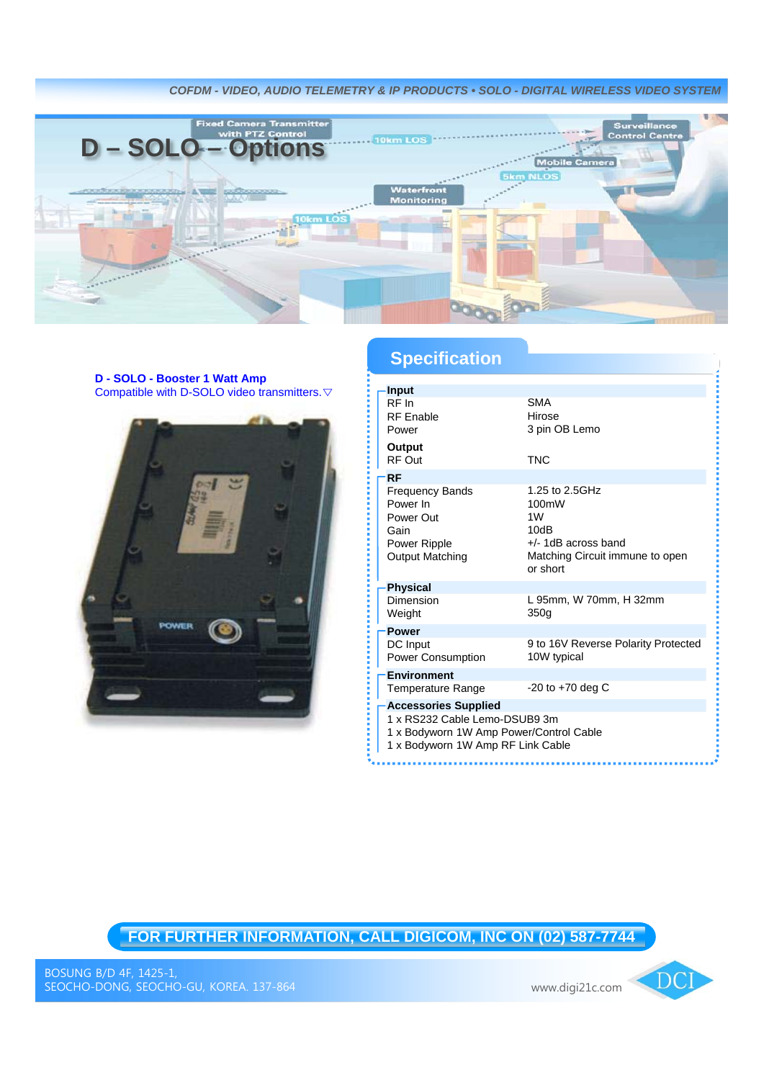*COFDM - VIDEO, AUDIO TELEMETRY & IP PRODUCTS • SOLO - DIGITAL WIRELESS VIDEO SYSTEM*



## **D - SOLO - Booster 1 Watt Amp** Compatible with D-SOLO video transmitters.▽



## **Specification**

| Input                                                                                             |                                                                                                                |  |
|---------------------------------------------------------------------------------------------------|----------------------------------------------------------------------------------------------------------------|--|
| RF In                                                                                             | <b>SMA</b><br>Hirose                                                                                           |  |
| <b>RF</b> Enable<br>Power                                                                         | 3 pin OB Lemo                                                                                                  |  |
|                                                                                                   |                                                                                                                |  |
| Output<br>RF Out                                                                                  | <b>TNC</b>                                                                                                     |  |
| <b>RF</b>                                                                                         |                                                                                                                |  |
| <b>Frequency Bands</b><br>Power In<br>Power Out<br>Gain<br>Power Ripple<br><b>Output Matching</b> | 1.25 to 2.5GHz<br>100mW<br>1W<br>10dB<br>$+/- 1$ dB across band<br>Matching Circuit immune to open<br>or short |  |
| <b>Physical</b>                                                                                   |                                                                                                                |  |
| Dimension<br>Weight                                                                               | L 95mm, W 70mm, H 32mm<br>350q                                                                                 |  |
| <b>Power</b>                                                                                      |                                                                                                                |  |
| DC Input<br><b>Power Consumption</b>                                                              | 9 to 16V Reverse Polarity Protected<br>10W typical                                                             |  |
| <b>Environment</b>                                                                                |                                                                                                                |  |
| Temperature Range                                                                                 | $-20$ to $+70$ deg C                                                                                           |  |
| <b>Accessories Supplied</b>                                                                       |                                                                                                                |  |
| 1 x RS232 Cable Lemo-DSUB9 3m                                                                     |                                                                                                                |  |
| 1 x Bodyworn 1W Amp Power/Control Cable                                                           |                                                                                                                |  |
| 1 x Bodyworn 1W Amp RF Link Cable                                                                 |                                                                                                                |  |

## **FOR FURTHER INFORMATION, CALL DIGICOM, INC ON (02) 587-7744**

DCI